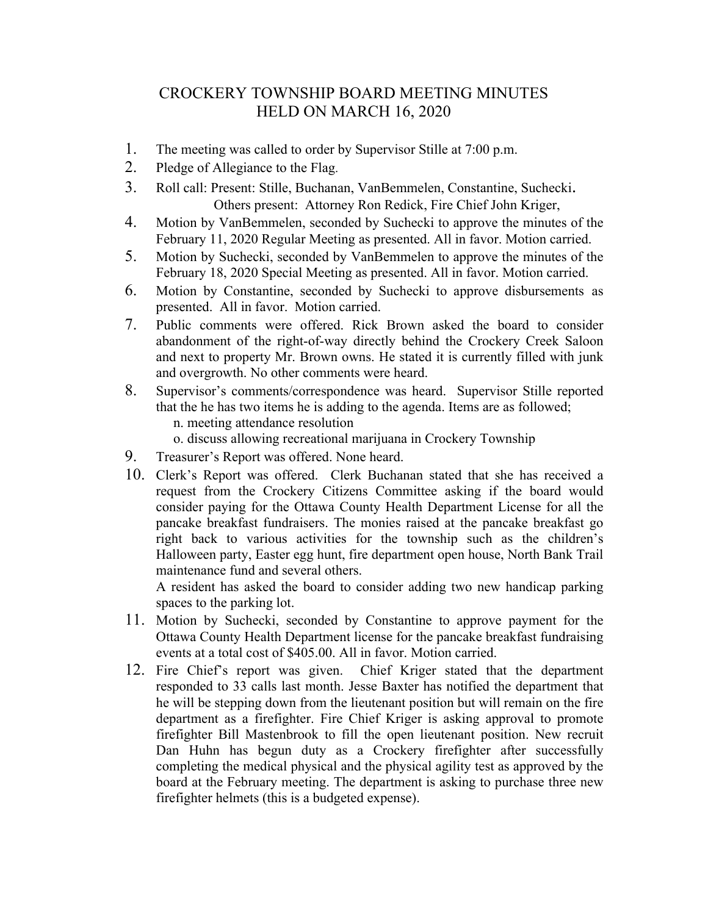## CROCKERY TOWNSHIP BOARD MEETING MINUTES HELD ON MARCH 16, 2020

- 1. The meeting was called to order by Supervisor Stille at 7:00 p.m.
- 2. Pledge of Allegiance to the Flag.
- 3. Roll call: Present: Stille, Buchanan, VanBemmelen, Constantine, Suchecki. Others present: Attorney Ron Redick, Fire Chief John Kriger,
- 4. Motion by VanBemmelen, seconded by Suchecki to approve the minutes of the February 11, 2020 Regular Meeting as presented. All in favor. Motion carried.
- 5. Motion by Suchecki, seconded by VanBemmelen to approve the minutes of the February 18, 2020 Special Meeting as presented. All in favor. Motion carried.
- 6. Motion by Constantine, seconded by Suchecki to approve disbursements as presented. All in favor. Motion carried.
- 7. Public comments were offered. Rick Brown asked the board to consider abandonment of the right-of-way directly behind the Crockery Creek Saloon and next to property Mr. Brown owns. He stated it is currently filled with junk and overgrowth. No other comments were heard.
- 8. Supervisor's comments/correspondence was heard. Supervisor Stille reported that the he has two items he is adding to the agenda. Items are as followed; n. meeting attendance resolution
	- o. discuss allowing recreational marijuana in Crockery Township
- 9. Treasurer's Report was offered. None heard.
- 10. Clerk's Report was offered. Clerk Buchanan stated that she has received a request from the Crockery Citizens Committee asking if the board would consider paying for the Ottawa County Health Department License for all the pancake breakfast fundraisers. The monies raised at the pancake breakfast go right back to various activities for the township such as the children's Halloween party, Easter egg hunt, fire department open house, North Bank Trail maintenance fund and several others.

A resident has asked the board to consider adding two new handicap parking spaces to the parking lot.

- 11. Motion by Suchecki, seconded by Constantine to approve payment for the Ottawa County Health Department license for the pancake breakfast fundraising events at a total cost of \$405.00. All in favor. Motion carried.
- 12. Fire Chief's report was given. Chief Kriger stated that the department responded to 33 calls last month. Jesse Baxter has notified the department that he will be stepping down from the lieutenant position but will remain on the fire department as a firefighter. Fire Chief Kriger is asking approval to promote firefighter Bill Mastenbrook to fill the open lieutenant position. New recruit Dan Huhn has begun duty as a Crockery firefighter after successfully completing the medical physical and the physical agility test as approved by the board at the February meeting. The department is asking to purchase three new firefighter helmets (this is a budgeted expense).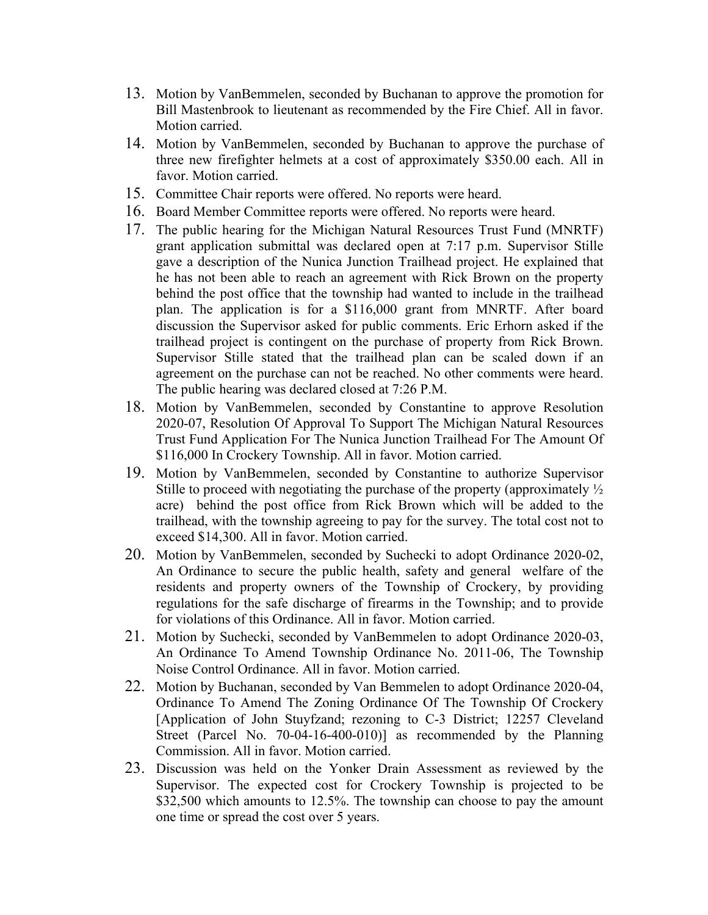- 13. Motion by VanBemmelen, seconded by Buchanan to approve the promotion for Bill Mastenbrook to lieutenant as recommended by the Fire Chief. All in favor. Motion carried.
- 14. Motion by VanBemmelen, seconded by Buchanan to approve the purchase of three new firefighter helmets at a cost of approximately \$350.00 each. All in favor. Motion carried.
- 15. Committee Chair reports were offered. No reports were heard.
- 16. Board Member Committee reports were offered. No reports were heard.
- 17. The public hearing for the Michigan Natural Resources Trust Fund (MNRTF) grant application submittal was declared open at 7:17 p.m. Supervisor Stille gave a description of the Nunica Junction Trailhead project. He explained that he has not been able to reach an agreement with Rick Brown on the property behind the post office that the township had wanted to include in the trailhead plan. The application is for a \$116,000 grant from MNRTF. After board discussion the Supervisor asked for public comments. Eric Erhorn asked if the trailhead project is contingent on the purchase of property from Rick Brown. Supervisor Stille stated that the trailhead plan can be scaled down if an agreement on the purchase can not be reached. No other comments were heard. The public hearing was declared closed at 7:26 P.M.
- 18. Motion by VanBemmelen, seconded by Constantine to approve Resolution 2020-07, Resolution Of Approval To Support The Michigan Natural Resources Trust Fund Application For The Nunica Junction Trailhead For The Amount Of \$116,000 In Crockery Township. All in favor. Motion carried.
- 19. Motion by VanBemmelen, seconded by Constantine to authorize Supervisor Stille to proceed with negotiating the purchase of the property (approximately ½ acre) behind the post office from Rick Brown which will be added to the trailhead, with the township agreeing to pay for the survey. The total cost not to exceed \$14,300. All in favor. Motion carried.
- 20. Motion by VanBemmelen, seconded by Suchecki to adopt Ordinance 2020-02, An Ordinance to secure the public health, safety and general welfare of the residents and property owners of the Township of Crockery, by providing regulations for the safe discharge of firearms in the Township; and to provide for violations of this Ordinance. All in favor. Motion carried.
- 21. Motion by Suchecki, seconded by VanBemmelen to adopt Ordinance 2020-03, An Ordinance To Amend Township Ordinance No. 2011-06, The Township Noise Control Ordinance. All in favor. Motion carried.
- 22. Motion by Buchanan, seconded by Van Bemmelen to adopt Ordinance 2020-04, Ordinance To Amend The Zoning Ordinance Of The Township Of Crockery [Application of John Stuyfzand; rezoning to C-3 District; 12257 Cleveland Street (Parcel No. 70-04-16-400-010)] as recommended by the Planning Commission. All in favor. Motion carried.
- 23. Discussion was held on the Yonker Drain Assessment as reviewed by the Supervisor. The expected cost for Crockery Township is projected to be \$32,500 which amounts to 12.5%. The township can choose to pay the amount one time or spread the cost over 5 years.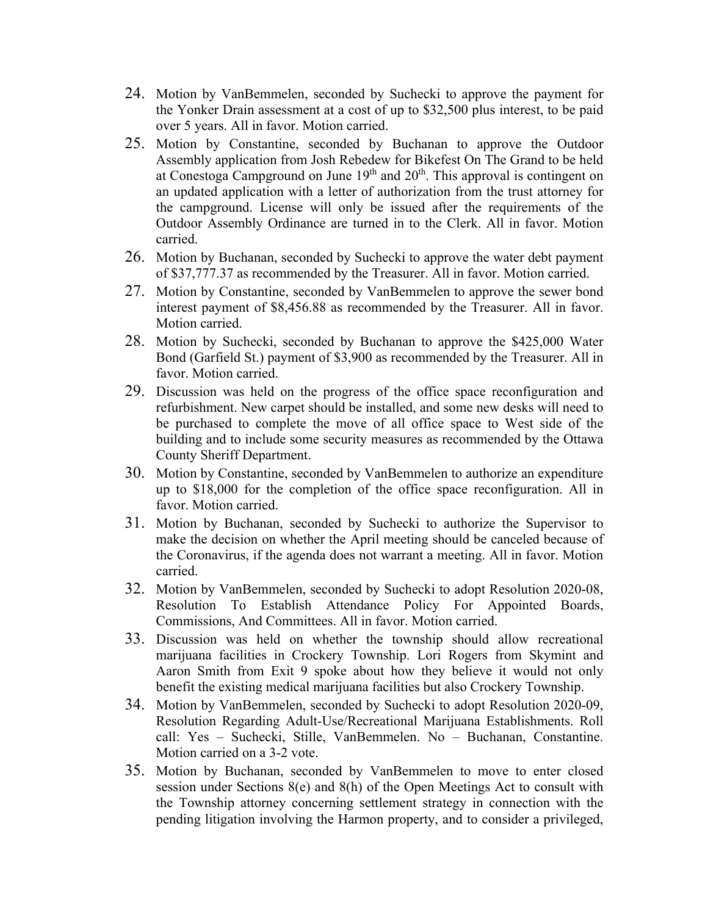- 24. Motion by VanBemmelen, seconded by Suchecki to approve the payment for the Yonker Drain assessment at a cost of up to \$32,500 plus interest, to be paid over 5 years. All in favor. Motion carried.
- 25. Motion by Constantine, seconded by Buchanan to approve the Outdoor Assembly application from Josh Rebedew for Bikefest On The Grand to be held at Conestoga Campground on June  $19<sup>th</sup>$  and  $20<sup>th</sup>$ . This approval is contingent on an updated application with a letter of authorization from the trust attorney for the campground. License will only be issued after the requirements of the Outdoor Assembly Ordinance are turned in to the Clerk. All in favor. Motion carried.
- 26. Motion by Buchanan, seconded by Suchecki to approve the water debt payment of \$37,777.37 as recommended by the Treasurer. All in favor. Motion carried.
- 27. Motion by Constantine, seconded by VanBemmelen to approve the sewer bond interest payment of \$8,456.88 as recommended by the Treasurer. All in favor. Motion carried.
- 28. Motion by Suchecki, seconded by Buchanan to approve the \$425,000 Water Bond (Garfield St.) payment of \$3,900 as recommended by the Treasurer. All in favor. Motion carried.
- 29. Discussion was held on the progress of the office space reconfiguration and refurbishment. New carpet should be installed, and some new desks will need to be purchased to complete the move of all office space to West side of the building and to include some security measures as recommended by the Ottawa County Sheriff Department.
- 30. Motion by Constantine, seconded by VanBemmelen to authorize an expenditure up to \$18,000 for the completion of the office space reconfiguration. All in favor. Motion carried.
- 31. Motion by Buchanan, seconded by Suchecki to authorize the Supervisor to make the decision on whether the April meeting should be canceled because of the Coronavirus, if the agenda does not warrant a meeting. All in favor. Motion carried.
- 32. Motion by VanBemmelen, seconded by Suchecki to adopt Resolution 2020-08, Resolution To Establish Attendance Policy For Appointed Boards, Commissions, And Committees. All in favor. Motion carried.
- 33. Discussion was held on whether the township should allow recreational marijuana facilities in Crockery Township. Lori Rogers from Skymint and Aaron Smith from Exit 9 spoke about how they believe it would not only benefit the existing medical marijuana facilities but also Crockery Township.
- 34. Motion by VanBemmelen, seconded by Suchecki to adopt Resolution 2020-09, Resolution Regarding Adult-Use/Recreational Marijuana Establishments. Roll call: Yes – Suchecki, Stille, VanBemmelen. No – Buchanan, Constantine. Motion carried on a 3-2 vote.
- 35. Motion by Buchanan, seconded by VanBemmelen to move to enter closed session under Sections 8(e) and 8(h) of the Open Meetings Act to consult with the Township attorney concerning settlement strategy in connection with the pending litigation involving the Harmon property, and to consider a privileged,